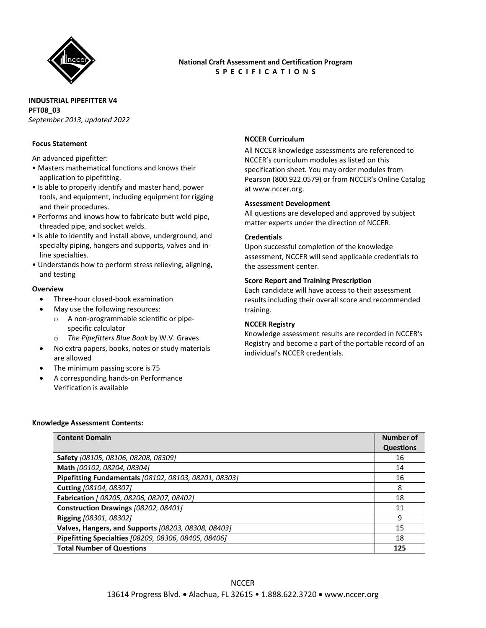

# **National Craft Assessment and Certification Program SPECIFICATIONS**

# **INDUSTRIAL PIPEFITTER V4 PFT08\_03**

*September 2013, updated 2022*

#### **Focus Statement**

An advanced pipefitter:

- Masters mathematical functions and knows their application to pipefitting.
- Is able to properly identify and master hand, power tools, and equipment, including equipment for rigging and their procedures.
- Performs and knows how to fabricate butt weld pipe, threaded pipe, and socket welds.
- Is able to identify and install above, underground, and specialty piping, hangers and supports, valves and in‐ line specialties.
- Understands how to perform stress relieving, aligning, and testing

#### **Overview**

- Three-hour closed-book examination
- May use the following resources:
	- o A non‐programmable scientific or pipe‐ specific calculator
	- o *The Pipefitters Blue Book* by W.V. Graves
- No extra papers, books, notes or study materials are allowed
- The minimum passing score is 75
- A corresponding hands‐on Performance Verification is available

# **NCCER Curriculum**

All NCCER knowledge assessments are referenced to NCCER's curriculum modules as listed on this specification sheet. You may order modules from Pearson (800.922.0579) or from NCCER's Online Catalog at www.nccer.org.

#### **Assessment Development**

All questions are developed and approved by subject matter experts under the direction of NCCER.

#### **Credentials**

Upon successful completion of the knowledge assessment, NCCER will send applicable credentials to the assessment center.

#### **Score Report and Training Prescription**

Each candidate will have access to their assessment results including their overall score and recommended training.

## **NCCER Registry**

Knowledge assessment results are recorded in NCCER's Registry and become a part of the portable record of an individual's NCCER credentials.

## **Knowledge Assessment Contents:**

| <b>Content Domain</b>                                 | Number of        |
|-------------------------------------------------------|------------------|
|                                                       | <b>Questions</b> |
| Safety [08105, 08106, 08208, 08309]                   | 16               |
| Math [00102, 08204, 08304]                            | 14               |
| Pipefitting Fundamentals [08102, 08103, 08201, 08303] | 16               |
| Cutting [08104, 08307]                                | 8                |
| Fabrication / 08205, 08206, 08207, 08402]             | 18               |
| Construction Drawings [08202, 08401]                  | 11               |
| Rigging [08301, 08302]                                | 9                |
| Valves, Hangers, and Supports [08203, 08308, 08403]   | 15               |
| Pipefitting Specialties [08209, 08306, 08405, 08406]  | 18               |
| <b>Total Number of Questions</b>                      | 125              |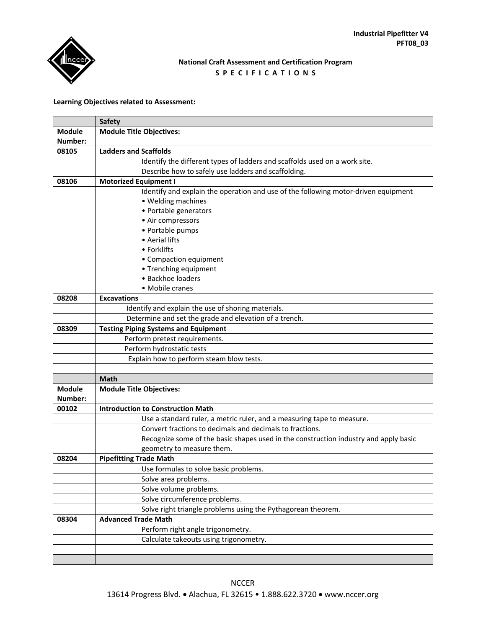

# **National Craft Assessment and Certification Program SPECIFICATIONS**

# **Learning Objectives related to Assessment:**

|               | Safety                                                                               |
|---------------|--------------------------------------------------------------------------------------|
| <b>Module</b> | <b>Module Title Objectives:</b>                                                      |
| Number:       |                                                                                      |
| 08105         | <b>Ladders and Scaffolds</b>                                                         |
|               | Identify the different types of ladders and scaffolds used on a work site.           |
|               | Describe how to safely use ladders and scaffolding.                                  |
| 08106         | <b>Motorized Equipment I</b>                                                         |
|               | Identify and explain the operation and use of the following motor-driven equipment   |
|               | • Welding machines                                                                   |
|               | • Portable generators                                                                |
|               | • Air compressors                                                                    |
|               | • Portable pumps                                                                     |
|               | • Aerial lifts                                                                       |
|               | • Forklifts                                                                          |
|               | • Compaction equipment                                                               |
|               | • Trenching equipment                                                                |
|               | • Backhoe loaders                                                                    |
|               | • Mobile cranes                                                                      |
| 08208         | <b>Excavations</b>                                                                   |
|               | Identify and explain the use of shoring materials.                                   |
|               | Determine and set the grade and elevation of a trench.                               |
| 08309         | <b>Testing Piping Systems and Equipment</b>                                          |
|               | Perform pretest requirements.                                                        |
|               | Perform hydrostatic tests                                                            |
|               | Explain how to perform steam blow tests.                                             |
|               |                                                                                      |
|               | Math                                                                                 |
| <b>Module</b> | <b>Module Title Objectives:</b>                                                      |
| Number:       |                                                                                      |
| 00102         | <b>Introduction to Construction Math</b>                                             |
|               | Use a standard ruler, a metric ruler, and a measuring tape to measure.               |
|               | Convert fractions to decimals and decimals to fractions.                             |
|               | Recognize some of the basic shapes used in the construction industry and apply basic |
|               | geometry to measure them.                                                            |
| 08204         | <b>Pipefitting Trade Math</b>                                                        |
|               | Use formulas to solve basic problems.                                                |
|               | Solve area problems.                                                                 |
|               | Solve volume problems.                                                               |
|               | Solve circumference problems.                                                        |
|               | Solve right triangle problems using the Pythagorean theorem.                         |
| 08304         | <b>Advanced Trade Math</b>                                                           |
|               | Perform right angle trigonometry.                                                    |
|               | Calculate takeouts using trigonometry.                                               |
|               |                                                                                      |
|               |                                                                                      |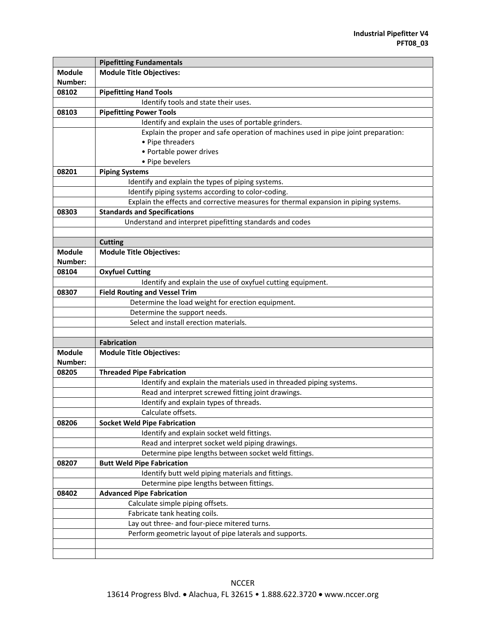|               | <b>Pipefitting Fundamentals</b>                                                      |
|---------------|--------------------------------------------------------------------------------------|
| <b>Module</b> | <b>Module Title Objectives:</b>                                                      |
| Number:       |                                                                                      |
| 08102         | <b>Pipefitting Hand Tools</b>                                                        |
|               | Identify tools and state their uses.                                                 |
| 08103         | <b>Pipefitting Power Tools</b>                                                       |
|               | Identify and explain the uses of portable grinders.                                  |
|               | Explain the proper and safe operation of machines used in pipe joint preparation:    |
|               | • Pipe threaders                                                                     |
|               | • Portable power drives                                                              |
|               | • Pipe bevelers                                                                      |
| 08201         | <b>Piping Systems</b>                                                                |
|               | Identify and explain the types of piping systems.                                    |
|               | Identify piping systems according to color-coding.                                   |
|               | Explain the effects and corrective measures for thermal expansion in piping systems. |
| 08303         | <b>Standards and Specifications</b>                                                  |
|               | Understand and interpret pipefitting standards and codes                             |
|               |                                                                                      |
|               | <b>Cutting</b>                                                                       |
| <b>Module</b> | <b>Module Title Objectives:</b>                                                      |
| Number:       |                                                                                      |
| 08104         | <b>Oxyfuel Cutting</b>                                                               |
|               | Identify and explain the use of oxyfuel cutting equipment.                           |
| 08307         | <b>Field Routing and Vessel Trim</b>                                                 |
|               | Determine the load weight for erection equipment.                                    |
|               | Determine the support needs.                                                         |
|               | Select and install erection materials.                                               |
|               |                                                                                      |
|               | <b>Fabrication</b>                                                                   |
| <b>Module</b> | <b>Module Title Objectives:</b>                                                      |
| Number:       |                                                                                      |
| 08205         | <b>Threaded Pipe Fabrication</b>                                                     |
|               | Identify and explain the materials used in threaded piping systems.                  |
|               | Read and interpret screwed fitting joint drawings.                                   |
|               | Identify and explain types of threads.                                               |
|               | Calculate offsets.                                                                   |
| 08206         | <b>Socket Weld Pipe Fabrication</b>                                                  |
|               | Identify and explain socket weld fittings.                                           |
|               | Read and interpret socket weld piping drawings.                                      |
|               | Determine pipe lengths between socket weld fittings.                                 |
| 08207         | <b>Butt Weld Pipe Fabrication</b>                                                    |
|               | Identify butt weld piping materials and fittings.                                    |
|               | Determine pipe lengths between fittings.                                             |
| 08402         | <b>Advanced Pipe Fabrication</b>                                                     |
|               | Calculate simple piping offsets.                                                     |
|               | Fabricate tank heating coils.                                                        |
|               | Lay out three- and four-piece mitered turns.                                         |
|               | Perform geometric layout of pipe laterals and supports.                              |
|               |                                                                                      |
|               |                                                                                      |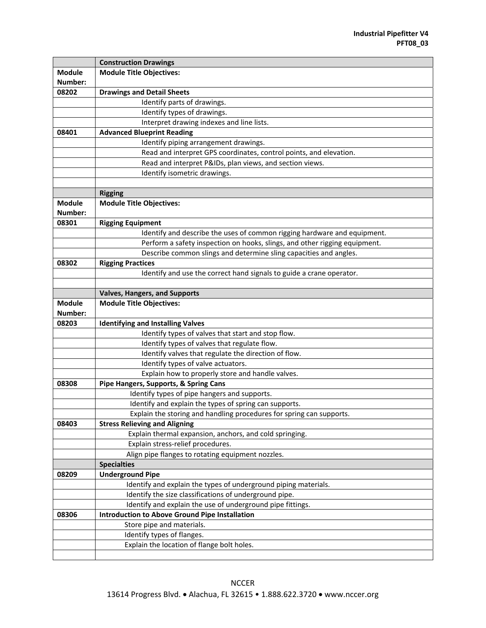|               | <b>Construction Drawings</b>                                               |
|---------------|----------------------------------------------------------------------------|
| <b>Module</b> | <b>Module Title Objectives:</b>                                            |
| Number:       |                                                                            |
| 08202         | <b>Drawings and Detail Sheets</b>                                          |
|               | Identify parts of drawings.                                                |
|               | Identify types of drawings.                                                |
|               | Interpret drawing indexes and line lists.                                  |
| 08401         | <b>Advanced Blueprint Reading</b>                                          |
|               | Identify piping arrangement drawings.                                      |
|               | Read and interpret GPS coordinates, control points, and elevation.         |
|               | Read and interpret P&IDs, plan views, and section views.                   |
|               | Identify isometric drawings.                                               |
|               |                                                                            |
|               | <b>Rigging</b>                                                             |
| <b>Module</b> | <b>Module Title Objectives:</b>                                            |
| Number:       |                                                                            |
| 08301         | <b>Rigging Equipment</b>                                                   |
|               | Identify and describe the uses of common rigging hardware and equipment.   |
|               | Perform a safety inspection on hooks, slings, and other rigging equipment. |
|               | Describe common slings and determine sling capacities and angles.          |
| 08302         | <b>Rigging Practices</b>                                                   |
|               | Identify and use the correct hand signals to guide a crane operator.       |
|               |                                                                            |
|               | <b>Valves, Hangers, and Supports</b>                                       |
| <b>Module</b> | <b>Module Title Objectives:</b>                                            |
| Number:       |                                                                            |
| 08203         | <b>Identifying and Installing Valves</b>                                   |
|               | Identify types of valves that start and stop flow.                         |
|               | Identify types of valves that regulate flow.                               |
|               | Identify valves that regulate the direction of flow.                       |
|               | Identify types of valve actuators.                                         |
|               | Explain how to properly store and handle valves.                           |
| 08308         | Pipe Hangers, Supports, & Spring Cans                                      |
|               | Identify types of pipe hangers and supports.                               |
|               | Identify and explain the types of spring can supports.                     |
|               | Explain the storing and handling procedures for spring can supports.       |
| 08403         | <b>Stress Relieving and Aligning</b>                                       |
|               | Explain thermal expansion, anchors, and cold springing.                    |
|               | Explain stress-relief procedures.                                          |
|               | Align pipe flanges to rotating equipment nozzles.                          |
|               | <b>Specialties</b>                                                         |
| 08209         | <b>Underground Pipe</b>                                                    |
|               | Identify and explain the types of underground piping materials.            |
|               | Identify the size classifications of underground pipe.                     |
|               | Identify and explain the use of underground pipe fittings.                 |
| 08306         | <b>Introduction to Above Ground Pipe Installation</b>                      |
|               | Store pipe and materials.                                                  |
|               | Identify types of flanges.<br>Explain the location of flange bolt holes.   |
|               |                                                                            |